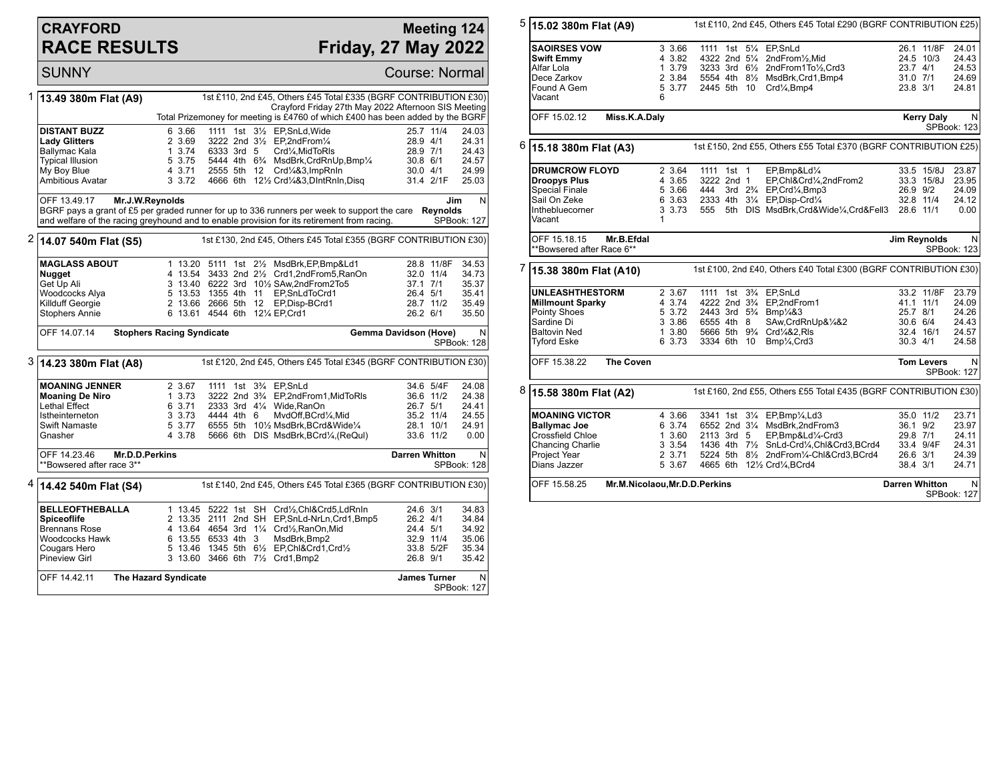## **CRAYFORD RACE RESULTS**

## **Meeting 124 Friday, 27 May 2022**

**SUNNY** Course: Normal

| 1 | 13.49 380m Flat (A9)                                                                         |                                  |             |  | 1st £110, 2nd £45, Others £45 Total £335 (BGRF CONTRIBUTION £30)                        |                       |                 |                  |
|---|----------------------------------------------------------------------------------------------|----------------------------------|-------------|--|-----------------------------------------------------------------------------------------|-----------------------|-----------------|------------------|
|   |                                                                                              |                                  |             |  | Crayford Friday 27th May 2022 Afternoon SIS Meeting                                     |                       |                 |                  |
|   |                                                                                              |                                  |             |  | Total Prizemoney for meeting is £4760 of which £400 has been added by the BGRF          |                       |                 |                  |
|   | <b>DISTANT BUZZ</b>                                                                          | 6 3.66                           |             |  | 1111 1st 31/2 EP, SnLd, Wide                                                            |                       | 25.7 11/4       | 24.03            |
|   | Lady Glitters                                                                                | 2 3.69                           |             |  | 3222 2nd 31/2 EP.2ndFrom1/4                                                             | 28.9 4/1              |                 | 24.31            |
|   | Ballymac Kala                                                                                | 13.74                            | 6333 3rd 5  |  | Crd1⁄4, MidToRIs                                                                        | 28.9 7/1              |                 | 24.43            |
|   | <b>Typical Illusion</b>                                                                      | 5 3.75                           |             |  | 5444 4th 6 <sup>3</sup> / <sub>4</sub> MsdBrk, CrdRnUp, Bmp <sup>1</sup> / <sub>4</sub> | 30.8 6/1              |                 | 24.57            |
|   | My Boy Blue<br>Ambitious Avatar                                                              | 4 3.71<br>3 3.72                 | 2555 5th 12 |  | Crd1/4&3, ImpRnIn<br>4666 6th 121/2 Crd1/4&3, DintRnin, Disq                            | 30.04/1               | 31.4 2/1F       | 24.99<br>25.03   |
|   |                                                                                              |                                  |             |  |                                                                                         |                       |                 |                  |
|   | OFF 13.49.17<br>Mr.J.W.Reynolds                                                              |                                  |             |  |                                                                                         |                       | Jim             | $\mathsf{N}$     |
|   | BGRF pays a grant of £5 per graded runner for up to 336 runners per week to support the care |                                  |             |  |                                                                                         |                       | <b>Reynolds</b> |                  |
|   | and welfare of the racing greyhound and to enable provision for its retirement from racing.  |                                  |             |  |                                                                                         |                       |                 | SPBook: 127      |
| 2 | 14.07 540m Flat (S5)                                                                         |                                  |             |  | 1st £130, 2nd £45, Others £45 Total £355 (BGRF CONTRIBUTION £30)                        |                       |                 |                  |
|   |                                                                                              |                                  |             |  |                                                                                         |                       |                 |                  |
|   | <b>MAGLASS ABOUT</b>                                                                         |                                  |             |  | 1 13.20 5111 1st 21/2 MsdBrk, EP, Bmp&Ld1                                               |                       | 28.8 11/8F      | 34.53            |
|   | <b>Nugget</b>                                                                                |                                  |             |  | 4 13.54 3433 2nd 21/2 Crd1,2ndFrom5,RanOn                                               |                       | 32.0 11/4       | 34.73            |
|   | Get Up Ali                                                                                   |                                  |             |  | 3 13.40 6222 3rd 101/2 SAw, 2nd From 2To 5                                              | 37.1 7/1              |                 | 35.37            |
|   | Woodcocks Alya                                                                               | 5 13.53 1355 4th 11              |             |  | EP.SnLdToCrd1                                                                           | 26.4 5/1              |                 | 35.41            |
|   | Killduff Georgie                                                                             |                                  |             |  | 2 13.66 2666 5th 12 EP, Disp-BCrd1                                                      |                       | 28.7 11/2       | 35.49            |
|   | <b>Stophers Annie</b>                                                                        | 6 13.61 4544 6th 121/4 EP.Crd1   |             |  |                                                                                         | 26.2 6/1              |                 | 35.50            |
|   | OFF 14.07.14                                                                                 | <b>Stophers Racing Syndicate</b> |             |  |                                                                                         | Gemma Davidson (Hove) |                 | N                |
|   |                                                                                              |                                  |             |  |                                                                                         |                       |                 | SPBook: 128      |
|   | 3 14.23 380m Flat (A8)                                                                       |                                  |             |  | 1st £120, 2nd £45, Others £45 Total £345 (BGRF CONTRIBUTION £30)                        |                       |                 |                  |
|   | <b>MOANING JENNER</b>                                                                        | 2 3.67                           |             |  | 1111 1st 3 <sup>3</sup> / <sub>4</sub> EP, SnLd                                         |                       | 34.6 5/4F       | 24.08            |
|   | <b>Moaning De Niro</b>                                                                       | 1, 3.73                          |             |  | 3222 2nd 3 <sup>3</sup> / <sub>4</sub> EP,2ndFrom1,MidToRIs                             |                       | 36.6 11/2       | 24.38            |
|   | <b>Lethal Effect</b>                                                                         | 6 3.71                           |             |  | 2333 3rd 41/4 Wide.RanOn                                                                | 26.7 5/1              |                 | 24.41            |
|   | Istheinterneton                                                                              | 3 3.73                           | 4444 4th 6  |  | MvdOff,BCrd1/4,Mid                                                                      |                       | 35.2 11/4       | 24.55            |
|   | <b>Swift Namaste</b>                                                                         | 5 3.77                           |             |  | 6555 5th 101/2 MsdBrk, BCrd&Wide1/4                                                     |                       | 28.1 10/1       | 24.91            |
|   | Gnasher                                                                                      | 4 3.78                           |             |  | 5666 6th DIS MsdBrk, BCrd1/4, (ReQuI)                                                   |                       | 33.6 11/2       | 0.00             |
|   | OFF 14.23.46<br><b>Mr.D.D.Perkins</b><br>**Bowsered after race 3**                           |                                  |             |  |                                                                                         | <b>Darren Whitton</b> |                 | N<br>SPBook: 128 |
|   |                                                                                              |                                  |             |  | 1st £140, 2nd £45, Others £45 Total £365 (BGRF CONTRIBUTION £30)                        |                       |                 |                  |
|   | <b>BELLEOFTHEBALLA</b>                                                                       |                                  |             |  | 1 13.45 5222 1st SH Crd1/2, Chl&Crd5, LdRnIn                                            | 24.6 3/1              |                 | 34.83            |
|   | <b>Spiceoflife</b>                                                                           |                                  |             |  | 2 13.35 2111 2nd SH EP, SnLd-NrLn, Crd1, Bmp5                                           | 26.2 4/1              |                 | 34.84            |
|   | <b>Brennans Rose</b>                                                                         |                                  |             |  | 4 13.64 4654 3rd 11/4 Crd1/2, RanOn, Mid                                                | 24.4 5/1              |                 | 34.92            |
|   | Woodcocks Hawk                                                                               | 6 13.55 6533 4th 3               |             |  | MsdBrk, Bmp2                                                                            |                       | 32.9 11/4       | 35.06            |
|   | Cougars Hero                                                                                 |                                  |             |  | 5 13.46 1345 5th 61/2 EP, Chl&Crd1, Crd1/2                                              |                       | 33.8 5/2F       | 35.34            |
|   | Pineview Girl                                                                                |                                  |             |  | 3 13.60 3466 6th 71/2 Crd1, Bmp2                                                        | 26.8 9/1              |                 | 35.42            |

| 5 | 15.02 380m Flat (A9)                                                                                                         |                                                          |                                                                                                                                                                                                        | 1st £110, 2nd £45, Others £45 Total £290 (BGRF CONTRIBUTION £25)                                                                                                 |                                                 |                                       |                                                    |
|---|------------------------------------------------------------------------------------------------------------------------------|----------------------------------------------------------|--------------------------------------------------------------------------------------------------------------------------------------------------------------------------------------------------------|------------------------------------------------------------------------------------------------------------------------------------------------------------------|-------------------------------------------------|---------------------------------------|----------------------------------------------------|
|   | <b>SAOIRSES VOW</b><br><b>Swift Emmy</b><br>Alfar Lola<br>Dece Zarkov                                                        | 3 3.66<br>4 3.82<br>1 3.79<br>2 3.84                     | 1111 1st 51/4 EP, SnLd                                                                                                                                                                                 | 4322 2nd 51/4 2ndFrom1/2, Mid<br>3233 3rd 61/2 2ndFrom1To1/2, Crd3<br>5554 4th 81/2 MsdBrk, Crd1, Bmp4                                                           | 23.7 4/1<br>31.0 7/1                            | 26.1 11/8F<br>24.5 10/3               | 24.01<br>24.43<br>24.53<br>24.69                   |
|   | Found A Gem<br>Vacant                                                                                                        | 5 3.77<br>6                                              | 2445 5th 10                                                                                                                                                                                            | Crd1⁄4.Bmp4                                                                                                                                                      | 23.8 3/1                                        |                                       | 24.81                                              |
|   | OFF 15.02.12<br>Miss.K.A.Daly                                                                                                |                                                          |                                                                                                                                                                                                        |                                                                                                                                                                  |                                                 | <b>Kerry Daly</b>                     | N<br>SPBook: 123                                   |
| 6 | 15.18 380m Flat (A3)                                                                                                         |                                                          |                                                                                                                                                                                                        | 1st £150, 2nd £55, Others £55 Total £370 (BGRF CONTRIBUTION £25)                                                                                                 |                                                 |                                       |                                                    |
|   | <b>DRUMCROW FLOYD</b><br><b>Droopys Plus</b><br>Special Finale<br>Sail On Zeke<br>Inthebluecorner<br>Vacant                  | 2 3.64<br>4 3.65<br>5 3.66<br>6 3.63<br>3 3.73<br>1      | 1111 1st 1<br>3222 2nd 1<br>444<br>2333 4th 31/4 EP, Disp-Crd1/4<br>555                                                                                                                                | EP,Bmp&Ld1/4<br>EP,Chl&Crd1⁄4,2ndFrom2<br>3rd 2 <sup>3</sup> / <sub>4</sub> EP, Crd <sup>1</sup> / <sub>4</sub> , Bmp3<br>5th DIS MsdBrk, Crd&Wide1/4, Crd&Fell3 | 26.9 9/2<br>28.6 11/1                           | 33.5 15/8J<br>33.3 15/8J<br>32.8 11/4 | 23.87<br>23.95<br>24.09<br>24.12<br>0.00           |
|   | OFF 15.18.15<br>Mr.B.Efdal<br>**Bowsered after Race 6**                                                                      |                                                          |                                                                                                                                                                                                        |                                                                                                                                                                  | <b>Jim Reynolds</b>                             |                                       | N<br>SPBook: 123                                   |
| 7 | 15.38 380m Flat (A10)                                                                                                        |                                                          |                                                                                                                                                                                                        | 1st £100, 2nd £40, Others £40 Total £300 (BGRF CONTRIBUTION £30)                                                                                                 |                                                 |                                       |                                                    |
|   | <b>UNLEASHTHESTORM</b><br><b>Millmount Sparky</b><br>Pointy Shoes<br>Sardine Di<br><b>Baltovin Ned</b><br><b>Tyford Eske</b> | 2 3.67<br>4 3.74<br>5 3.72<br>3 3.86<br>1 3.80<br>6 3.73 | 1111 1st<br>4222 2nd 3 <sup>3</sup> / <sub>4</sub><br>2443 3rd 5 <sup>3</sup> / <sub>4</sub> Bmp <sup>1</sup> / <sub>4</sub> &3<br>6555 4th 8<br>5666 5th 9 <sup>3</sup> / <sub>4</sub><br>3334 6th 10 | 3% EP,SnLd<br>EP,2ndFrom1<br>SAw,CrdRnUp&1/4&2<br>Crd1/4&2, RIs<br>Bmp <sup>1</sup> / <sub>4</sub> , Crd3                                                        | 41.1 11/1<br>25.7 8/1<br>30.6 6/4<br>$30.3$ 4/1 | 33.2 11/8F<br>32.4 16/1               | 23.79<br>24.09<br>24.26<br>24.43<br>24.57<br>24.58 |
|   | OFF 15.38.22<br><b>The Coven</b>                                                                                             |                                                          |                                                                                                                                                                                                        |                                                                                                                                                                  |                                                 | <b>Tom Levers</b>                     | N.<br>SPBook: 127                                  |
| 8 | 15.58 380m Flat (A2)                                                                                                         |                                                          |                                                                                                                                                                                                        | 1st £160, 2nd £55, Others £55 Total £435 (BGRF CONTRIBUTION £30)                                                                                                 |                                                 |                                       |                                                    |
|   | <b>MOANING VICTOR</b><br><b>Ballymac Joe</b><br>Crossfield Chloe<br>Chancing Charlie<br>Project Year<br>Dians Jazzer         | 4 3.66<br>6 3.74<br>1 3.60<br>3 3.54<br>2 3.71<br>5 3.67 | $3\frac{1}{4}$<br>3341 1st<br>2113 3rd 5<br>4665 6th 121/2 Crd1/4, BCrd4                                                                                                                               | EP,Bmp1/4,Ld3<br>6552 2nd 31/4 MsdBrk.2ndFrom3<br>EP,Bmp&Ld1/4-Crd3<br>1436 4th 71/2 SnLd-Crd1/4, Chl&Crd3, BCrd4<br>5224 5th 81/2 2ndFrom1/4-Chl&Crd3,BCrd4     | 36.1 9/2<br>29.8 7/1<br>26.6 3/1<br>38.4 3/1    | 35.0 11/2<br>33.4 9/4F                | 23.71<br>23.97<br>24.11<br>24.31<br>24.39<br>24.71 |
|   | OFF 15.58.25                                                                                                                 | Mr.M.Nicolaou, Mr.D.D.Perkins                            |                                                                                                                                                                                                        |                                                                                                                                                                  | <b>Darren Whitton</b>                           |                                       | N<br>SPBook: 127                                   |